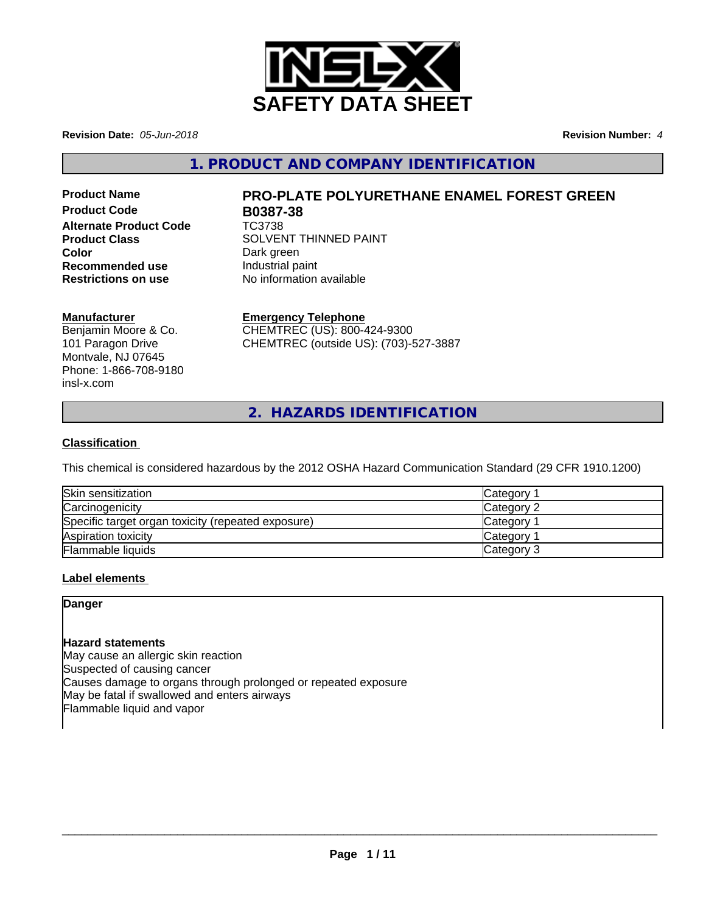

**Revision Date:** *05-Jun-2018* **Revision Number:** *4*

**1. PRODUCT AND COMPANY IDENTIFICATION**

**Product Code B0387-38 Alternate Product Code** TC3738 **Color**<br> **Recommended use Dark green**<br> **Recommended use Industrial paint Recommended use**<br>Restrictions on use

# **Product Name PRO-PLATE POLYURETHANE ENAMEL FOREST GREEN**

**Product Class SOLVENT THINNED PAINT No information available** 

# **Manufacturer**

Benjamin Moore & Co. 101 Paragon Drive Montvale, NJ 07645 Phone: 1-866-708-9180 insl-x.com

# **Emergency Telephone**

CHEMTREC (US): 800-424-9300 CHEMTREC (outside US): (703)-527-3887

**2. HAZARDS IDENTIFICATION**

# **Classification**

This chemical is considered hazardous by the 2012 OSHA Hazard Communication Standard (29 CFR 1910.1200)

| Skin sensitization                                 | <b>Category</b> |
|----------------------------------------------------|-----------------|
| Carcinogenicity                                    | Category 2      |
| Specific target organ toxicity (repeated exposure) | <b>Category</b> |
| Aspiration toxicity                                | Category        |
| <b>Flammable liquids</b>                           | Category 3      |

# **Label elements**

# **Danger**

# **Hazard statements**

May cause an allergic skin reaction Suspected of causing cancer Causes damage to organs through prolonged or repeated exposure May be fatal if swallowed and enters airways Flammable liquid and vapor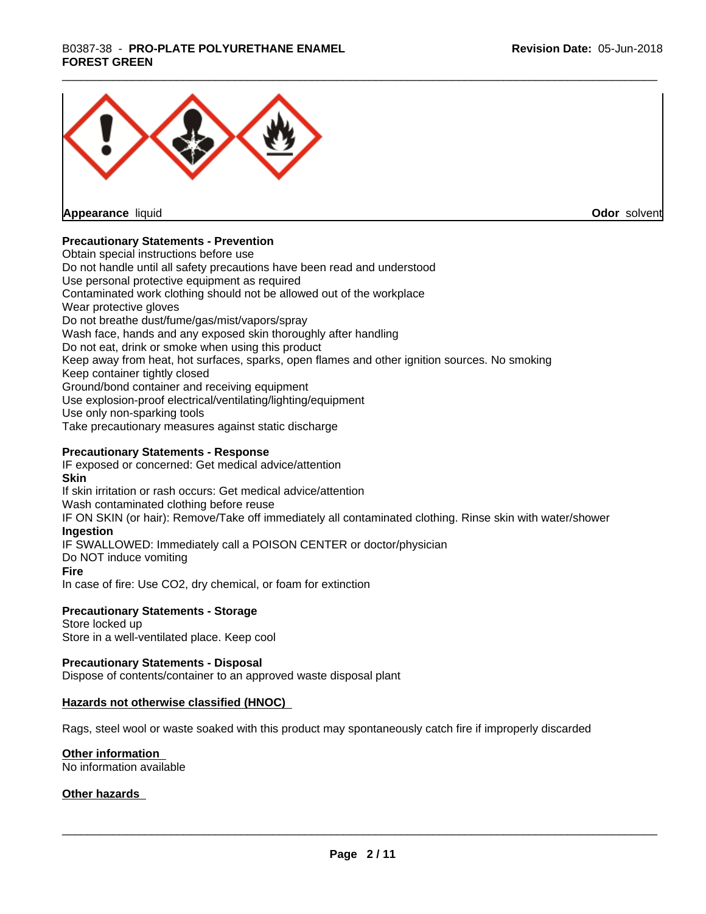# \_\_\_\_\_\_\_\_\_\_\_\_\_\_\_\_\_\_\_\_\_\_\_\_\_\_\_\_\_\_\_\_\_\_\_\_\_\_\_\_\_\_\_\_\_\_\_\_\_\_\_\_\_\_\_\_\_\_\_\_\_\_\_\_\_\_\_\_\_\_\_\_\_\_\_\_\_\_\_\_\_\_\_\_\_\_\_\_\_\_\_\_\_ B0387-38 - **PRO-PLATE POLYURETHANE ENAMEL FOREST GREEN**



**Appearance** liquid

**Odor** solvent

# **Precautionary Statements - Prevention**

Obtain special instructions before use Do not handle until all safety precautions have been read and understood Use personal protective equipment as required Contaminated work clothing should not be allowed out of the workplace Wear protective gloves Do not breathe dust/fume/gas/mist/vapors/spray Wash face, hands and any exposed skin thoroughly after handling Do not eat, drink or smoke when using this product Keep away from heat, hot surfaces, sparks, open flames and other ignition sources. No smoking Keep container tightly closed Ground/bond container and receiving equipment Use explosion-proof electrical/ventilating/lighting/equipment Use only non-sparking tools Take precautionary measures against static discharge

## **Precautionary Statements - Response**

IF exposed or concerned: Get medical advice/attention **Skin** If skin irritation or rash occurs: Get medical advice/attention Wash contaminated clothing before reuse IF ON SKIN (or hair): Remove/Take off immediately all contaminated clothing. Rinse skin with water/shower **Ingestion** IF SWALLOWED: Immediately call a POISON CENTER or doctor/physician Do NOT induce vomiting **Fire** In case of fire: Use CO2, dry chemical, or foam for extinction

#### **Precautionary Statements - Storage**

Store locked up Store in a well-ventilated place. Keep cool

#### **Precautionary Statements - Disposal**

Dispose of contents/container to an approved waste disposal plant

#### **Hazards not otherwise classified (HNOC)**

Rags, steel wool or waste soaked with this product may spontaneously catch fire if improperly discarded

#### **Other information**

No information available

#### **Other hazards**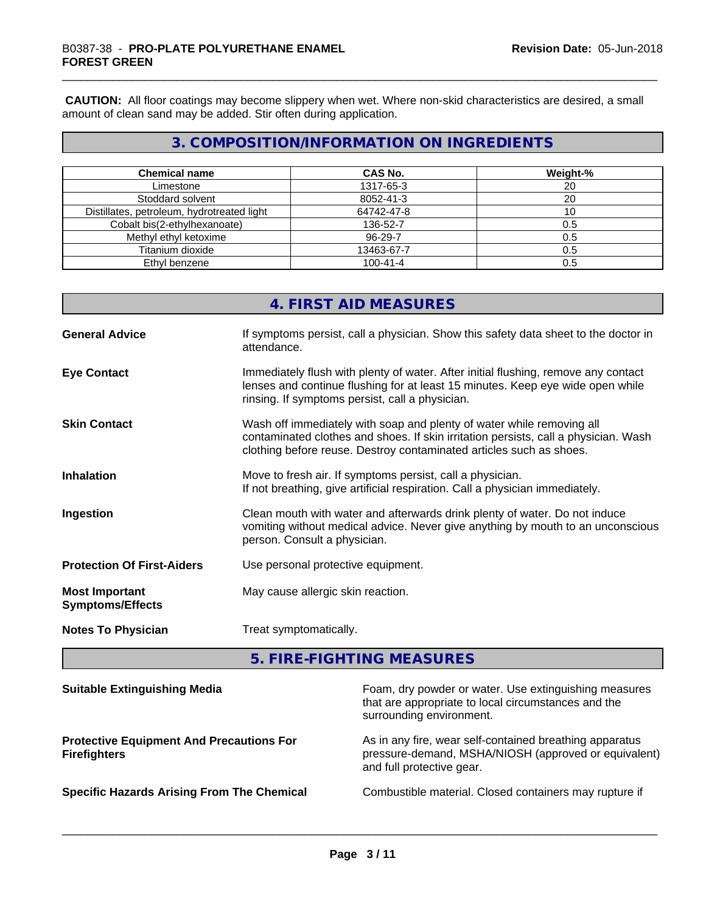**CAUTION:** All floor coatings may become slippery when wet. Where non-skid characteristics are desired, a small amount of clean sand may be added. Stir often during application.

# **3. COMPOSITION/INFORMATION ON INGREDIENTS**

| <b>Chemical name</b>                       | <b>CAS No.</b> | Weight-% |
|--------------------------------------------|----------------|----------|
| Limestone                                  | 1317-65-3      | 20       |
| Stoddard solvent                           | 8052-41-3      | 20       |
| Distillates, petroleum, hydrotreated light | 64742-47-8     | ιU       |
| Cobalt bis(2-ethylhexanoate)               | 136-52-7       | 0.5      |
| Methyl ethyl ketoxime                      | 96-29-7        | 0.5      |
| Titanium dioxide                           | 13463-67-7     | 0.5      |
| Ethyl benzene                              | $100 - 41 - 4$ | 0.5      |

|                                                  | 4. FIRST AID MEASURES                                                                                                                                                                                                               |
|--------------------------------------------------|-------------------------------------------------------------------------------------------------------------------------------------------------------------------------------------------------------------------------------------|
| <b>General Advice</b>                            | If symptoms persist, call a physician. Show this safety data sheet to the doctor in<br>attendance.                                                                                                                                  |
| <b>Eye Contact</b>                               | Immediately flush with plenty of water. After initial flushing, remove any contact<br>lenses and continue flushing for at least 15 minutes. Keep eye wide open while<br>rinsing. If symptoms persist, call a physician.             |
| <b>Skin Contact</b>                              | Wash off immediately with soap and plenty of water while removing all<br>contaminated clothes and shoes. If skin irritation persists, call a physician. Wash<br>clothing before reuse. Destroy contaminated articles such as shoes. |
| <b>Inhalation</b>                                | Move to fresh air. If symptoms persist, call a physician.<br>If not breathing, give artificial respiration. Call a physician immediately.                                                                                           |
| Ingestion                                        | Clean mouth with water and afterwards drink plenty of water. Do not induce<br>vomiting without medical advice. Never give anything by mouth to an unconscious<br>person. Consult a physician.                                       |
| <b>Protection Of First-Aiders</b>                | Use personal protective equipment.                                                                                                                                                                                                  |
| <b>Most Important</b><br><b>Symptoms/Effects</b> | May cause allergic skin reaction.                                                                                                                                                                                                   |
| <b>Notes To Physician</b>                        | Treat symptomatically.                                                                                                                                                                                                              |
|                                                  |                                                                                                                                                                                                                                     |

**5. FIRE-FIGHTING MEASURES**

| <b>Suitable Extinguishing Media</b>                                    | Foam, dry powder or water. Use extinguishing measures<br>that are appropriate to local circumstances and the<br>surrounding environment.     |
|------------------------------------------------------------------------|----------------------------------------------------------------------------------------------------------------------------------------------|
| <b>Protective Equipment And Precautions For</b><br><b>Firefighters</b> | As in any fire, wear self-contained breathing apparatus<br>pressure-demand, MSHA/NIOSH (approved or equivalent)<br>and full protective gear. |
| <b>Specific Hazards Arising From The Chemical</b>                      | Combustible material. Closed containers may rupture if                                                                                       |
|                                                                        |                                                                                                                                              |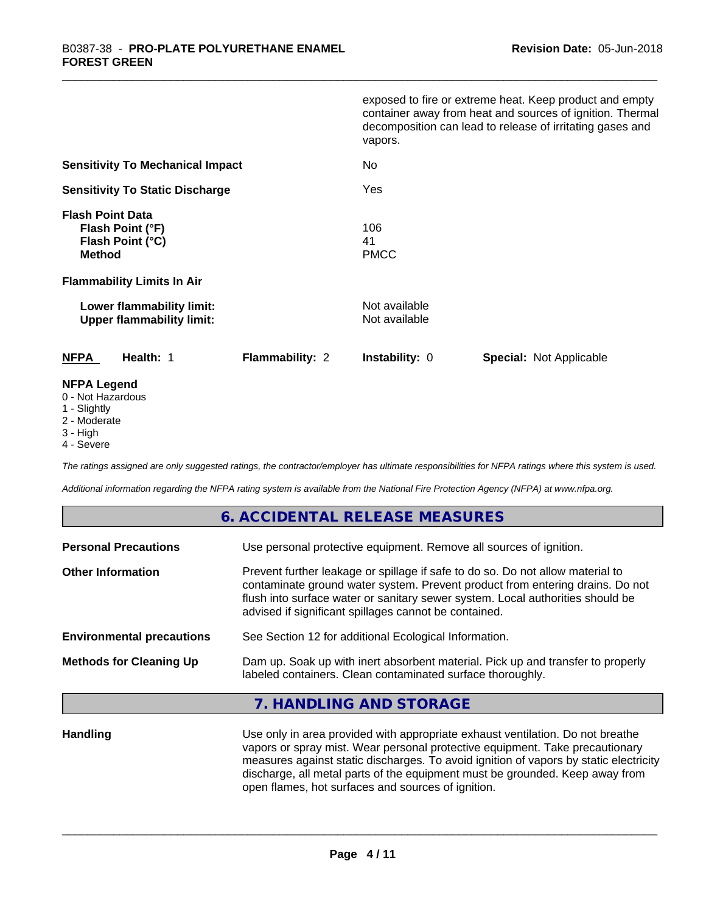|                                                                                                                       | exposed to fire or extreme heat. Keep product and empty<br>container away from heat and sources of ignition. Thermal<br>decomposition can lead to release of irritating gases and<br>vapors. |
|-----------------------------------------------------------------------------------------------------------------------|----------------------------------------------------------------------------------------------------------------------------------------------------------------------------------------------|
| <b>Sensitivity To Mechanical Impact</b>                                                                               | No.                                                                                                                                                                                          |
| <b>Sensitivity To Static Discharge</b>                                                                                | Yes                                                                                                                                                                                          |
| <b>Flash Point Data</b><br>Flash Point (°F)<br>Flash Point (°C)<br><b>Method</b><br><b>Flammability Limits In Air</b> | 106<br>41<br><b>PMCC</b>                                                                                                                                                                     |
| Lower flammability limit:<br><b>Upper flammability limit:</b>                                                         | Not available<br>Not available                                                                                                                                                               |
| <b>NFPA</b><br>Health: 1<br><b>Flammability: 2</b>                                                                    | <b>Instability: 0</b><br><b>Special: Not Applicable</b>                                                                                                                                      |
| <b>NFPA Legend</b>                                                                                                    |                                                                                                                                                                                              |

### 0 - Not Hazardous

- 1 Slightly
- 2 Moderate
- 3 High
- 4 Severe

*The ratings assigned are only suggested ratings, the contractor/employer has ultimate responsibilities for NFPA ratings where this system is used.*

*Additional information regarding the NFPA rating system is available from the National Fire Protection Agency (NFPA) at www.nfpa.org.*

# **6. ACCIDENTAL RELEASE MEASURES**

| Use personal protective equipment. Remove all sources of ignition.                                                                                                                                                                                                                                         |
|------------------------------------------------------------------------------------------------------------------------------------------------------------------------------------------------------------------------------------------------------------------------------------------------------------|
| Prevent further leakage or spillage if safe to do so. Do not allow material to<br>contaminate ground water system. Prevent product from entering drains. Do not<br>flush into surface water or sanitary sewer system. Local authorities should be<br>advised if significant spillages cannot be contained. |
| See Section 12 for additional Ecological Information.                                                                                                                                                                                                                                                      |
| Dam up. Soak up with inert absorbent material. Pick up and transfer to properly<br>labeled containers. Clean contaminated surface thoroughly.                                                                                                                                                              |
|                                                                                                                                                                                                                                                                                                            |

# **7. HANDLING AND STORAGE**

**Handling** Use only in area provided with appropriate exhaust ventilation. Do not breathe vapors or spray mist. Wear personal protective equipment. Take precautionary measures against static discharges. To avoid ignition of vapors by static electricity discharge, all metal parts of the equipment must be grounded. Keep away from open flames, hot surfaces and sources of ignition.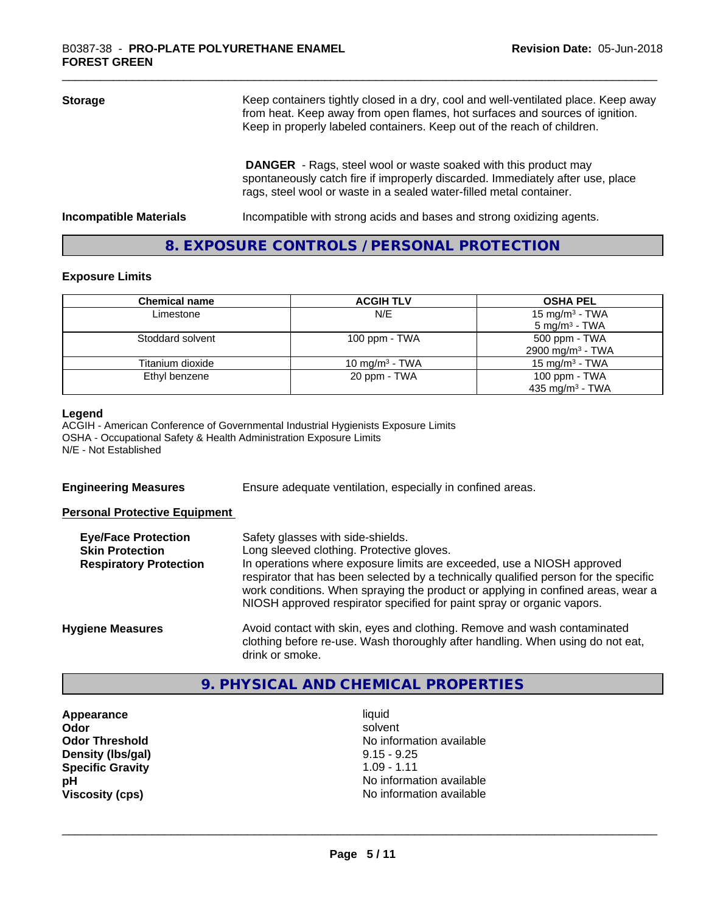| <b>Storage</b>                | Keep containers tightly closed in a dry, cool and well-ventilated place. Keep away<br>from heat. Keep away from open flames, hot surfaces and sources of ignition.<br>Keep in properly labeled containers. Keep out of the reach of children. |  |
|-------------------------------|-----------------------------------------------------------------------------------------------------------------------------------------------------------------------------------------------------------------------------------------------|--|
|                               | <b>DANGER</b> - Rags, steel wool or waste soaked with this product may<br>spontaneously catch fire if improperly discarded. Immediately after use, place<br>rags, steel wool or waste in a sealed water-filled metal container.               |  |
| <b>Incompatible Materials</b> | Incompatible with strong acids and bases and strong oxidizing agents.                                                                                                                                                                         |  |

# **8. EXPOSURE CONTROLS / PERSONAL PROTECTION**

#### **Exposure Limits**

| <b>Chemical name</b> | <b>ACGIH TLV</b>  | <b>OSHA PEL</b>              |
|----------------------|-------------------|------------------------------|
| Limestone            | N/E               | 15 mg/m <sup>3</sup> - TWA   |
|                      |                   | $5 \text{ mg/m}^3$ - TWA     |
| Stoddard solvent     | 100 ppm - $TWA$   | 500 ppm - TWA                |
|                      |                   | 2900 mg/m <sup>3</sup> - TWA |
| Titanium dioxide     | 10 mg/m $3$ - TWA | 15 mg/m $3$ - TWA            |
| Ethyl benzene        | 20 ppm - TWA      | 100 ppm $-$ TWA              |
|                      |                   | 435 mg/m <sup>3</sup> - TWA  |

#### **Legend**

ACGIH - American Conference of Governmental Industrial Hygienists Exposure Limits OSHA - Occupational Safety & Health Administration Exposure Limits N/E - Not Established

**Engineering Measures** Ensure adequate ventilation, especially in confined areas.

#### **Personal Protective Equipment**

| <b>Eye/Face Protection</b><br><b>Skin Protection</b> | Safety glasses with side-shields.<br>Long sleeved clothing. Protective gloves.                                                                                                                                                                     |
|------------------------------------------------------|----------------------------------------------------------------------------------------------------------------------------------------------------------------------------------------------------------------------------------------------------|
| <b>Respiratory Protection</b>                        | In operations where exposure limits are exceeded, use a NIOSH approved                                                                                                                                                                             |
|                                                      | respirator that has been selected by a technically qualified person for the specific<br>work conditions. When spraying the product or applying in confined areas, wear a<br>NIOSH approved respirator specified for paint spray or organic vapors. |
| <b>Hygiene Measures</b>                              | Avoid contact with skin, eyes and clothing. Remove and wash contaminated<br>clothing before re-use. Wash thoroughly after handling. When using do not eat,                                                                                         |
|                                                      | drink or smoke.                                                                                                                                                                                                                                    |

# **9. PHYSICAL AND CHEMICAL PROPERTIES**

**Appearance** liquid **Density (lbs/gal)** 9.15 - 9.25<br> **Specific Gravity** 1.09 - 1.11 **Specific Gravity** 

**Odor** solvent **Odor Threshold No information available No information available pH**<br>
Viscosity (cps) <br>
Viscosity (cps) <br>
Viscosity (cps) <br>
Viscosity (cps) <br>
Viscosity (cps) <br>
Viscosity (cps) <br>
Viscosity (cps) <br>
Viscosity (cps) <br>
Viscosity (cps) <br>
Viscosity (cps) <br>
Viscosity (cps) <br>
Viscosity (cps) <br> **Viscosity (cps)** No information available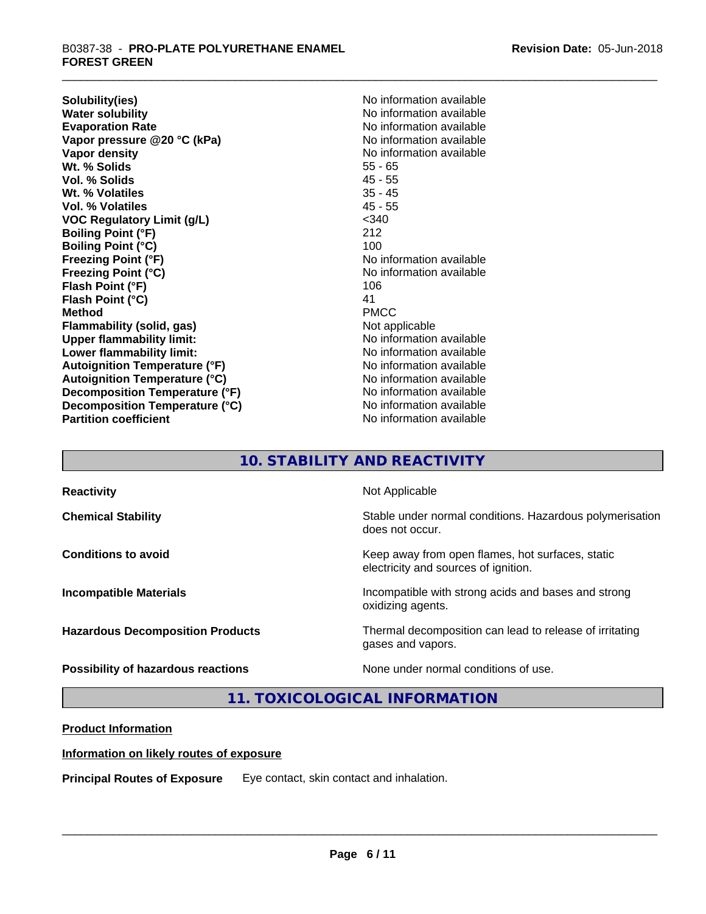**Solubility(ies)** No information available **Water solubility**<br> **Evaporation Rate**<br> **Evaporation Rate**<br> **Evaporation Rate Vapor pressure @20 °C (kPa)** No information available<br> **Vapor density** No information available **Wt. % Solids** 55 - 65 **Vol. % Solids** 45 - 55 **Wt. % Volatiles** 35 - 45 **Vol. % Volatiles VOC Regulatory Limit (g/L)** <340 **Boiling Point (°F)** 212 **Boiling Point (°C)** 100 **Freezing Point (°F)**<br> **Freezing Point (°C)**<br> **Freezing Point (°C)**<br> **No information available Flash Point (°F)** 106 **Flash Point (°C)** 41<br> **Method** PMCC **Method** PMCC **Flammability (solid, gas)** Not applicable **Upper flammability limit:** No information available **Lower flammability limit:** No information available **Autoignition Temperature (°F)** No information available **Autoignition Temperature (°C)** No information available **Decomposition Temperature (°F)** No information available **Decomposition Temperature (°C)** No information available **Partition coefficient Contract Contract Contract Contract Contract Contract Contract Contract Contract Contract Contract Contract Contract Contract Contract Contract Contract Contract Contract Contract Contract Contract** 

**Evaporation Rate** No information available **No information available Freezing Point (°C)** No information available

# **10. STABILITY AND REACTIVITY**

| <b>Reactivity</b>                       | Not Applicable                                                                           |
|-----------------------------------------|------------------------------------------------------------------------------------------|
| <b>Chemical Stability</b>               | Stable under normal conditions. Hazardous polymerisation<br>does not occur.              |
| <b>Conditions to avoid</b>              | Keep away from open flames, hot surfaces, static<br>electricity and sources of ignition. |
| <b>Incompatible Materials</b>           | Incompatible with strong acids and bases and strong<br>oxidizing agents.                 |
| <b>Hazardous Decomposition Products</b> | Thermal decomposition can lead to release of irritating<br>gases and vapors.             |
| Possibility of hazardous reactions      | None under normal conditions of use.                                                     |

**11. TOXICOLOGICAL INFORMATION**

# **Product Information**

# **Information on likely routes of exposure**

**Principal Routes of Exposure** Eye contact, skin contact and inhalation.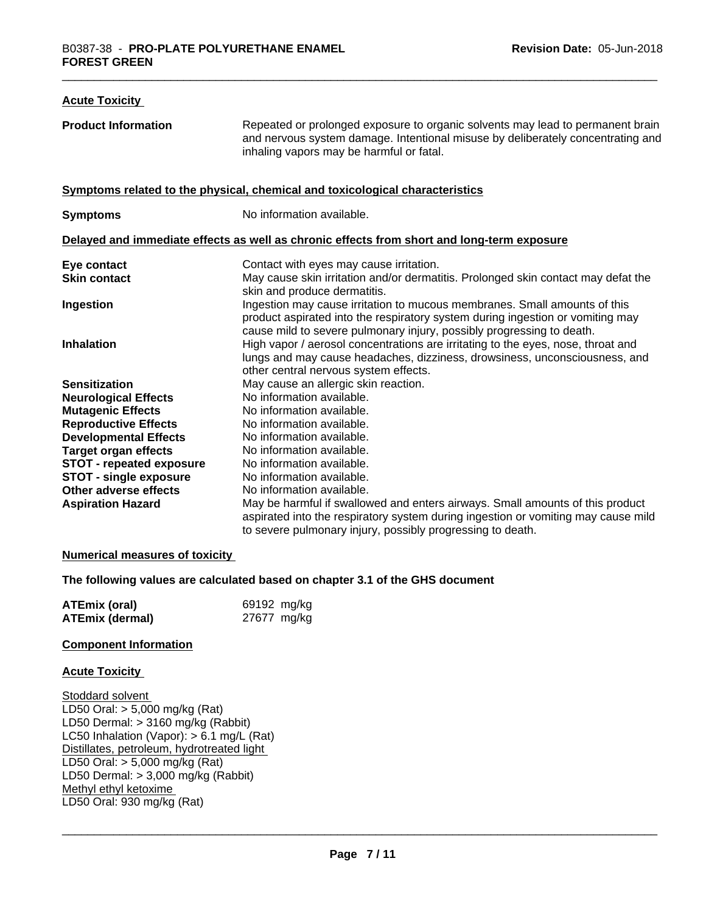| <b>Acute Toxicity</b>           |                                                                                                                                                                                                                                      |
|---------------------------------|--------------------------------------------------------------------------------------------------------------------------------------------------------------------------------------------------------------------------------------|
| <b>Product Information</b>      | Repeated or prolonged exposure to organic solvents may lead to permanent brain<br>and nervous system damage. Intentional misuse by deliberately concentrating and<br>inhaling vapors may be harmful or fatal.                        |
|                                 | Symptoms related to the physical, chemical and toxicological characteristics                                                                                                                                                         |
| <b>Symptoms</b>                 | No information available.                                                                                                                                                                                                            |
|                                 | Delayed and immediate effects as well as chronic effects from short and long-term exposure                                                                                                                                           |
| Eye contact                     | Contact with eyes may cause irritation.                                                                                                                                                                                              |
| <b>Skin contact</b>             | May cause skin irritation and/or dermatitis. Prolonged skin contact may defat the<br>skin and produce dermatitis.                                                                                                                    |
| Ingestion                       | Ingestion may cause irritation to mucous membranes. Small amounts of this<br>product aspirated into the respiratory system during ingestion or vomiting may<br>cause mild to severe pulmonary injury, possibly progressing to death. |
| <b>Inhalation</b>               | High vapor / aerosol concentrations are irritating to the eyes, nose, throat and<br>lungs and may cause headaches, dizziness, drowsiness, unconsciousness, and<br>other central nervous system effects.                              |
| <b>Sensitization</b>            | May cause an allergic skin reaction.                                                                                                                                                                                                 |
| <b>Neurological Effects</b>     | No information available.                                                                                                                                                                                                            |
| <b>Mutagenic Effects</b>        | No information available.                                                                                                                                                                                                            |
| <b>Reproductive Effects</b>     | No information available.                                                                                                                                                                                                            |
| <b>Developmental Effects</b>    | No information available.                                                                                                                                                                                                            |
| <b>Target organ effects</b>     | No information available.                                                                                                                                                                                                            |
| <b>STOT - repeated exposure</b> | No information available.                                                                                                                                                                                                            |
| <b>STOT - single exposure</b>   | No information available.                                                                                                                                                                                                            |
| Other adverse effects           | No information available.                                                                                                                                                                                                            |
| <b>Aspiration Hazard</b>        | May be harmful if swallowed and enters airways. Small amounts of this product<br>aspirated into the respiratory system during ingestion or vomiting may cause mild                                                                   |
|                                 | to severe pulmonary injury, possibly progressing to death.                                                                                                                                                                           |

#### **Numerical measures of toxicity**

## **The following values are calculated based on chapter 3.1 of the GHS document**

| <b>ATEmix (oral)</b> | 69192 mg/kg |
|----------------------|-------------|
| ATEmix (dermal)      | 27677 mg/kg |

#### **Component Information**

#### **Acute Toxicity**

Stoddard solvent LD50 Oral: > 5,000 mg/kg (Rat) LD50 Dermal: > 3160 mg/kg (Rabbit) LC50 Inhalation (Vapor): > 6.1 mg/L (Rat) Distillates, petroleum, hydrotreated light LD50 Oral: > 5,000 mg/kg (Rat) LD50 Dermal: > 3,000 mg/kg (Rabbit) Methyl ethyl ketoxime LD50 Oral: 930 mg/kg (Rat)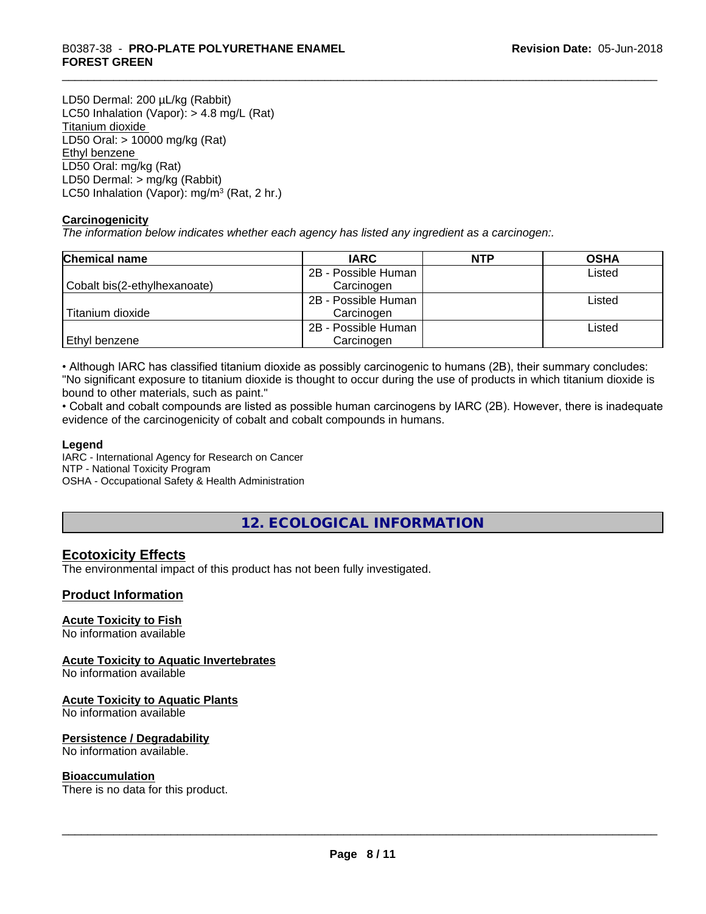LD50 Dermal: 200 µL/kg (Rabbit) LC50 Inhalation (Vapor): > 4.8 mg/L (Rat) Titanium dioxide LD50 Oral: > 10000 mg/kg (Rat) Ethyl benzene LD50 Oral: mg/kg (Rat) LD50 Dermal: > mg/kg (Rabbit) LC50 Inhalation (Vapor): mg/m<sup>3</sup> (Rat, 2 hr.)

## **Carcinogenicity**

*The information below indicateswhether each agency has listed any ingredient as a carcinogen:.*

| <b>Chemical name</b>         | <b>IARC</b>         | <b>NTP</b> | <b>OSHA</b> |
|------------------------------|---------------------|------------|-------------|
|                              | 2B - Possible Human |            | Listed      |
| Cobalt bis(2-ethylhexanoate) | Carcinogen          |            |             |
|                              | 2B - Possible Human |            | Listed      |
| Titanium dioxide             | Carcinogen          |            |             |
|                              | 2B - Possible Human |            | Listed      |
| Ethyl benzene                | Carcinogen          |            |             |

• Although IARC has classified titanium dioxide as possibly carcinogenic to humans (2B), their summary concludes: "No significant exposure to titanium dioxide is thought to occur during the use of products in which titanium dioxide is bound to other materials, such as paint."

• Cobalt and cobalt compounds are listed as possible human carcinogens by IARC (2B). However, there is inadequate evidence of the carcinogenicity of cobalt and cobalt compounds in humans.

#### **Legend**

IARC - International Agency for Research on Cancer NTP - National Toxicity Program

OSHA - Occupational Safety & Health Administration

# **12. ECOLOGICAL INFORMATION**

# **Ecotoxicity Effects**

The environmental impact of this product has not been fully investigated.

# **Product Information**

#### **Acute Toxicity to Fish**

No information available

# **Acute Toxicity to Aquatic Invertebrates**

No information available

#### **Acute Toxicity to Aquatic Plants**

No information available

#### **Persistence / Degradability**

No information available.

#### **Bioaccumulation**

There is no data for this product.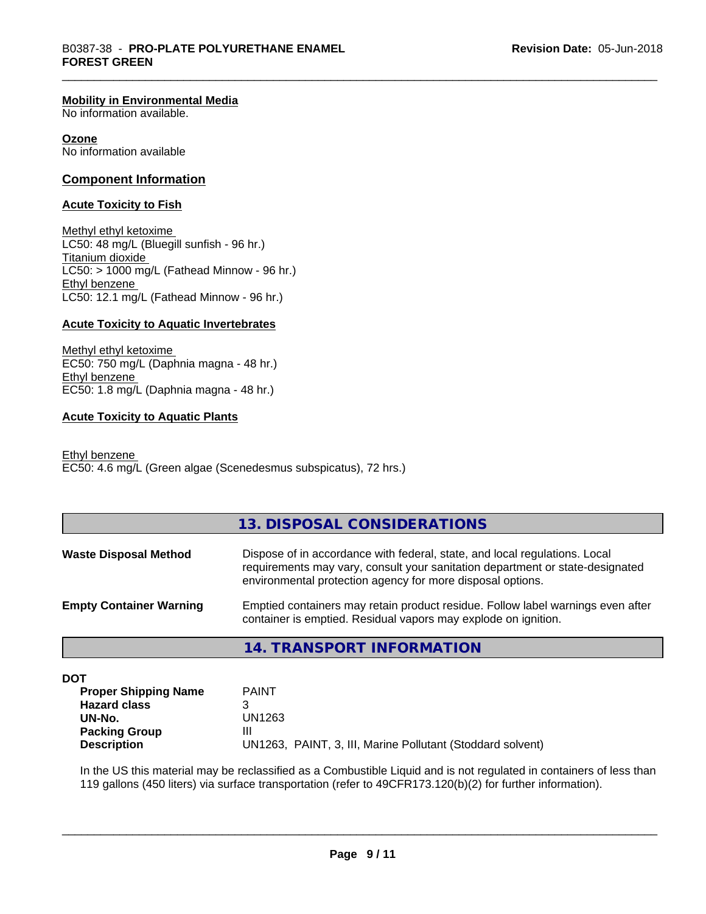#### **Mobility in Environmental Media**

No information available.

#### **Ozone**

No information available

#### **Component Information**

#### **Acute Toxicity to Fish**

Methyl ethyl ketoxime LC50: 48 mg/L (Bluegill sunfish - 96 hr.) Titanium dioxide  $LC50:$  > 1000 mg/L (Fathead Minnow - 96 hr.) Ethyl benzene LC50: 12.1 mg/L (Fathead Minnow - 96 hr.)

#### **Acute Toxicity to Aquatic Invertebrates**

Methyl ethyl ketoxime EC50: 750 mg/L (Daphnia magna - 48 hr.) Ethyl benzene EC50: 1.8 mg/L (Daphnia magna - 48 hr.)

#### **Acute Toxicity to Aquatic Plants**

Ethyl benzene EC50: 4.6 mg/L (Green algae (Scenedesmus subspicatus), 72 hrs.)

# **13. DISPOSAL CONSIDERATIONS**

| <b>Waste Disposal Method</b>   | Dispose of in accordance with federal, state, and local regulations. Local<br>requirements may vary, consult your sanitation department or state-designated<br>environmental protection agency for more disposal options. |
|--------------------------------|---------------------------------------------------------------------------------------------------------------------------------------------------------------------------------------------------------------------------|
| <b>Empty Container Warning</b> | Emptied containers may retain product residue. Follow label warnings even after<br>container is emptied. Residual vapors may explode on ignition.                                                                         |

# **14. TRANSPORT INFORMATION**

**DOT**

| <b>Proper Shipping Name</b> | <b>PAINT</b>                                               |
|-----------------------------|------------------------------------------------------------|
| <b>Hazard class</b>         |                                                            |
| UN-No.                      | UN1263                                                     |
| <b>Packing Group</b>        | Ш                                                          |
| <b>Description</b>          | UN1263, PAINT, 3, III, Marine Pollutant (Stoddard solvent) |

In the US this material may be reclassified as a Combustible Liquid and is not regulated in containers of less than 119 gallons (450 liters) via surface transportation (refer to 49CFR173.120(b)(2) for further information).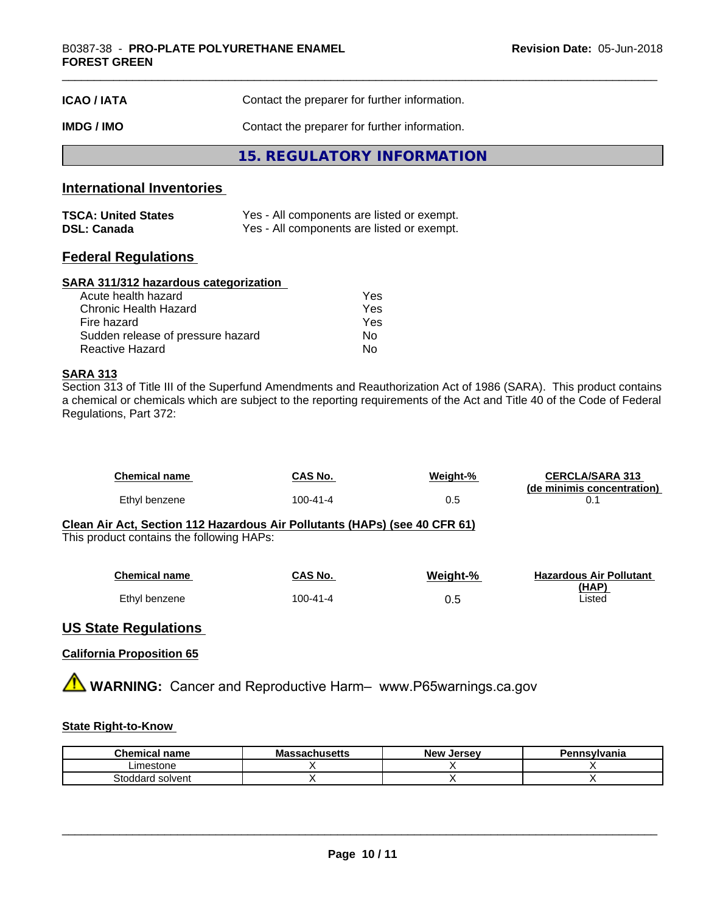| <b>ICAO/IATA</b> | Contact the preparer for further information. |  |
|------------------|-----------------------------------------------|--|
| IMDG / IMO       | Contact the preparer for further information. |  |
|                  | 15. REGULATORY INFORMATION                    |  |

# **International Inventories**

| <b>TSCA: United States</b> | Yes - All components are listed or exempt. |
|----------------------------|--------------------------------------------|
| <b>DSL: Canada</b>         | Yes - All components are listed or exempt. |

# **Federal Regulations**

#### **SARA 311/312 hazardous categorization**

| Acute health hazard               | Yes |
|-----------------------------------|-----|
| Chronic Health Hazard             | Yes |
| Fire hazard                       | Yes |
| Sudden release of pressure hazard | Nο  |
| Reactive Hazard                   | Nο  |

# **SARA 313**

Section 313 of Title III of the Superfund Amendments and Reauthorization Act of 1986 (SARA). This product contains a chemical or chemicals which are subject to the reporting requirements of the Act and Title 40 of the Code of Federal Regulations, Part 372:

| <b>Chemical name</b> | CAS No.  | Weight-% | <b>CERCLA/SARA 313</b><br>(de minimis concentration) |
|----------------------|----------|----------|------------------------------------------------------|
| Ethyl benzene        | 100-41-4 | 0.5      |                                                      |

#### **Clean Air Act,Section 112 Hazardous Air Pollutants (HAPs) (see 40 CFR 61)** This product contains the following HAPs:

| <b>Chemical name</b> | CAS No.  | Weight-% | <b>Hazardous Air Pollutant</b><br>(HAP) |
|----------------------|----------|----------|-----------------------------------------|
| Ethyl benzene        | 100-41-4 | U.O      | Listed                                  |

# **US State Regulations**

## **California Proposition 65**

**AVIMARNING:** Cancer and Reproductive Harm– www.P65warnings.ca.gov

# **State Right-to-Know**

| Chemical<br>' name             | Massachusetts | <b>Jersev</b><br><b>New</b> | Pennsylvania |
|--------------------------------|---------------|-----------------------------|--------------|
| Limestone                      |               |                             |              |
| Stoddard.<br>l solvent<br>וסזכ |               |                             |              |